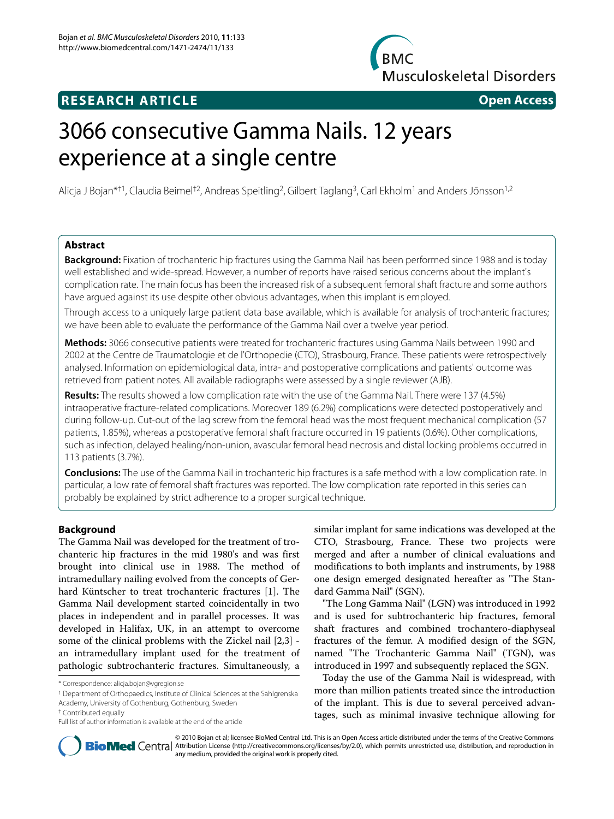# **RESEARCH ARTICLE Open Access**

**Musculoskeletal Disorders** 

**BMC** 

# 3066 consecutive Gamma Nails. 12 years experience at a single centre

Alicja J Bojan\*†1, Claudia Beimel†2, Andreas Speitling2, Gilbert Taglang3, Carl Ekholm1 and Anders Jönsson1,2

# **Abstract**

**Background:** Fixation of trochanteric hip fractures using the Gamma Nail has been performed since 1988 and is today well established and wide-spread. However, a number of reports have raised serious concerns about the implant's complication rate. The main focus has been the increased risk of a subsequent femoral shaft fracture and some authors have argued against its use despite other obvious advantages, when this implant is employed.

Through access to a uniquely large patient data base available, which is available for analysis of trochanteric fractures; we have been able to evaluate the performance of the Gamma Nail over a twelve year period.

**Methods:** 3066 consecutive patients were treated for trochanteric fractures using Gamma Nails between 1990 and 2002 at the Centre de Traumatologie et de l'Orthopedie (CTO), Strasbourg, France. These patients were retrospectively analysed. Information on epidemiological data, intra- and postoperative complications and patients' outcome was retrieved from patient notes. All available radiographs were assessed by a single reviewer (AJB).

**Results:** The results showed a low complication rate with the use of the Gamma Nail. There were 137 (4.5%) intraoperative fracture-related complications. Moreover 189 (6.2%) complications were detected postoperatively and during follow-up. Cut-out of the lag screw from the femoral head was the most frequent mechanical complication (57 patients, 1.85%), whereas a postoperative femoral shaft fracture occurred in 19 patients (0.6%). Other complications, such as infection, delayed healing/non-union, avascular femoral head necrosis and distal locking problems occurred in 113 patients (3.7%).

**Conclusions:** The use of the Gamma Nail in trochanteric hip fractures is a safe method with a low complication rate. In particular, a low rate of femoral shaft fractures was reported. The low complication rate reported in this series can probably be explained by strict adherence to a proper surgical technique.

# **Background**

The Gamma Nail was developed for the treatment of trochanteric hip fractures in the mid 1980's and was first brought into clinical use in 1988. The method of intramedullary nailing evolved from the concepts of Gerhard Küntscher to treat trochanteric fractures [[1\]](#page-8-0). The Gamma Nail development started coincidentally in two places in independent and in parallel processes. It was developed in Halifax, UK, in an attempt to overcome some of the clinical problems with the Zickel nail [[2,](#page-8-1)[3\]](#page-8-2) an intramedullary implant used for the treatment of pathologic subtrochanteric fractures. Simultaneously, a

1 Department of Orthopaedics, Institute of Clinical Sciences at the Sahlgrenska Academy, University of Gothenburg, Gothenburg, Sweden

similar implant for same indications was developed at the CTO, Strasbourg, France. These two projects were merged and after a number of clinical evaluations and modifications to both implants and instruments, by 1988 one design emerged designated hereafter as "The Standard Gamma Nail" (SGN).

"The Long Gamma Nail" (LGN) was introduced in 1992 and is used for subtrochanteric hip fractures, femoral shaft fractures and combined trochantero-diaphyseal fractures of the femur. A modified design of the SGN, named "The Trochanteric Gamma Nail" (TGN), was introduced in 1997 and subsequently replaced the SGN.

Today the use of the Gamma Nail is widespread, with more than million patients treated since the introduction of the implant. This is due to several perceived advantages, such as minimal invasive technique allowing for



© 2010 Bojan et al; licensee BioMed Central Ltd. This is an Open Access article distributed under the terms of the Creative Commons **BioMed** Central Attribution License (http://creativecommons.org/licenses/by/2.0), which permits unrestricted use, distribution, and reproduction in any medium, provided the original work is properly cited.

<sup>\*</sup> Correspondence: alicja.bojan@vgregion.se

<sup>†</sup> Contributed equally

Full list of author information is available at the end of the article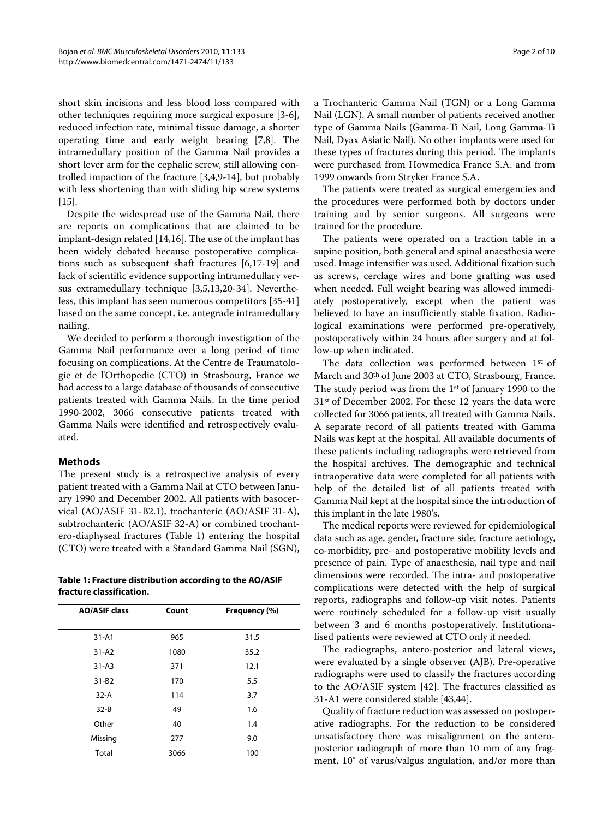short skin incisions and less blood loss compared with other techniques requiring more surgical exposure [[3-](#page-8-2)[6](#page-8-3)], reduced infection rate, minimal tissue damage, a shorter operating time and early weight bearing [\[7](#page-8-4)[,8](#page-8-5)]. The intramedullary position of the Gamma Nail provides a short lever arm for the cephalic screw, still allowing controlled impaction of the fracture [[3,](#page-8-2)[4,](#page-8-6)[9-](#page-8-7)[14\]](#page-8-8), but probably with less shortening than with sliding hip screw systems  $[15]$  $[15]$ .

Despite the widespread use of the Gamma Nail, there are reports on complications that are claimed to be implant-design related [[14,](#page-8-8)[16\]](#page-8-10). The use of the implant has been widely debated because postoperative complications such as subsequent shaft fractures [\[6](#page-8-3)[,17](#page-8-11)-[19\]](#page-8-12) and lack of scientific evidence supporting intramedullary versus extramedullary technique [\[3](#page-8-2)[,5](#page-8-13),[13](#page-8-14),[20](#page-8-15)[-34\]](#page-9-0). Nevertheless, this implant has seen numerous competitors [\[35-](#page-9-1)[41](#page-9-2)] based on the same concept, i.e. antegrade intramedullary nailing.

We decided to perform a thorough investigation of the Gamma Nail performance over a long period of time focusing on complications. At the Centre de Traumatologie et de l'Orthopedie (CTO) in Strasbourg, France we had access to a large database of thousands of consecutive patients treated with Gamma Nails. In the time period 1990-2002, 3066 consecutive patients treated with Gamma Nails were identified and retrospectively evaluated.

# **Methods**

The present study is a retrospective analysis of every patient treated with a Gamma Nail at CTO between January 1990 and December 2002. All patients with basocervical (AO/ASIF 31-B2.1), trochanteric (AO/ASIF 31-A), subtrochanteric (AO/ASIF 32-A) or combined trochantero-diaphyseal fractures (Table [1](#page-1-0)) entering the hospital (CTO) were treated with a Standard Gamma Nail (SGN),

<span id="page-1-0"></span>**Table 1: Fracture distribution according to the AO/ASIF fracture classification.**

| <b>AO/ASIF class</b> | Count | Frequency (%) |
|----------------------|-------|---------------|
| $31 - A1$            | 965   | 31.5          |
| $31 - A2$            | 1080  | 35.2          |
| $31 - A3$            | 371   | 12.1          |
| $31 - B2$            | 170   | 5.5           |
| $32-A$               | 114   | 3.7           |
| $32 - B$             | 49    | 1.6           |
| Other                | 40    | 1.4           |
| Missing              | 277   | 9.0           |
| Total                | 3066  | 100           |

a Trochanteric Gamma Nail (TGN) or a Long Gamma Nail (LGN). A small number of patients received another type of Gamma Nails (Gamma-Ti Nail, Long Gamma-Ti Nail, Dyax Asiatic Nail). No other implants were used for these types of fractures during this period. The implants were purchased from Howmedica France S.A. and from 1999 onwards from Stryker France S.A.

The patients were treated as surgical emergencies and the procedures were performed both by doctors under training and by senior surgeons. All surgeons were trained for the procedure.

The patients were operated on a traction table in a supine position, both general and spinal anaesthesia were used. Image intensifier was used. Additional fixation such as screws, cerclage wires and bone grafting was used when needed. Full weight bearing was allowed immediately postoperatively, except when the patient was believed to have an insufficiently stable fixation. Radiological examinations were performed pre-operatively, postoperatively within 24 hours after surgery and at follow-up when indicated.

The data collection was performed between 1st of March and 30th of June 2003 at CTO, Strasbourg, France. The study period was from the 1st of January 1990 to the 31st of December 2002. For these 12 years the data were collected for 3066 patients, all treated with Gamma Nails. A separate record of all patients treated with Gamma Nails was kept at the hospital. All available documents of these patients including radiographs were retrieved from the hospital archives. The demographic and technical intraoperative data were completed for all patients with help of the detailed list of all patients treated with Gamma Nail kept at the hospital since the introduction of this implant in the late 1980's.

The medical reports were reviewed for epidemiological data such as age, gender, fracture side, fracture aetiology, co-morbidity, pre- and postoperative mobility levels and presence of pain. Type of anaesthesia, nail type and nail dimensions were recorded. The intra- and postoperative complications were detected with the help of surgical reports, radiographs and follow-up visit notes. Patients were routinely scheduled for a follow-up visit usually between 3 and 6 months postoperatively. Institutionalised patients were reviewed at CTO only if needed.

The radiographs, antero-posterior and lateral views, were evaluated by a single observer (AJB). Pre-operative radiographs were used to classify the fractures according to the AO/ASIF system [[42](#page-9-3)]. The fractures classified as 31-A1 were considered stable [\[43](#page-9-4)[,44](#page-9-5)].

Quality of fracture reduction was assessed on postoperative radiographs. For the reduction to be considered unsatisfactory there was misalignment on the anteroposterior radiograph of more than 10 mm of any fragment, 10° of varus/valgus angulation, and/or more than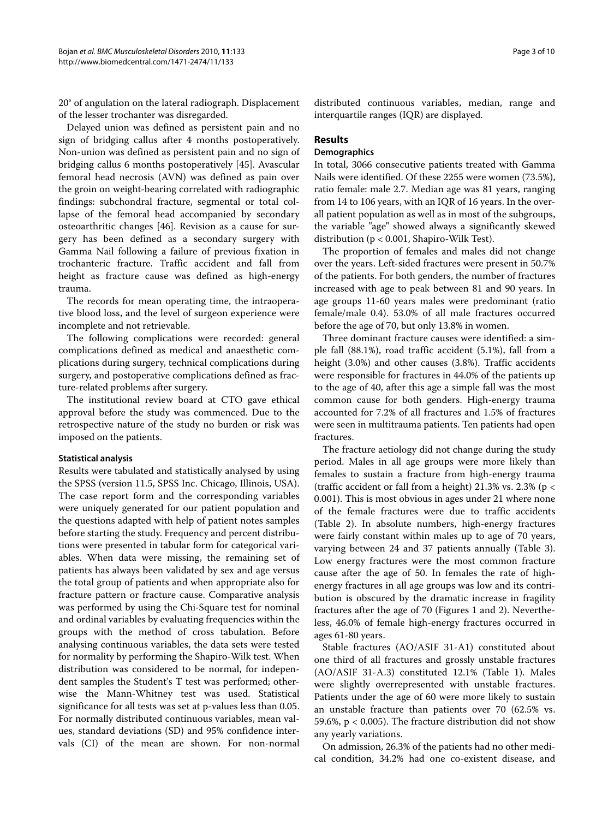20° of angulation on the lateral radiograph. Displacement of the lesser trochanter was disregarded.

Delayed union was defined as persistent pain and no sign of bridging callus after 4 months postoperatively. Non-union was defined as persistent pain and no sign of bridging callus 6 months postoperatively [[45\]](#page-9-6). Avascular femoral head necrosis (AVN) was defined as pain over the groin on weight-bearing correlated with radiographic findings: subchondral fracture, segmental or total collapse of the femoral head accompanied by secondary osteoarthritic changes [\[46](#page-9-7)]. Revision as a cause for surgery has been defined as a secondary surgery with Gamma Nail following a failure of previous fixation in trochanteric fracture. Traffic accident and fall from height as fracture cause was defined as high-energy trauma.

The records for mean operating time, the intraoperative blood loss, and the level of surgeon experience were incomplete and not retrievable.

The following complications were recorded: general complications defined as medical and anaesthetic complications during surgery, technical complications during surgery, and postoperative complications defined as fracture-related problems after surgery.

The institutional review board at CTO gave ethical approval before the study was commenced. Due to the retrospective nature of the study no burden or risk was imposed on the patients.

#### **Statistical analysis**

Results were tabulated and statistically analysed by using the SPSS (version 11.5, SPSS Inc. Chicago, Illinois, USA). The case report form and the corresponding variables were uniquely generated for our patient population and the questions adapted with help of patient notes samples before starting the study. Frequency and percent distributions were presented in tabular form for categorical variables. When data were missing, the remaining set of patients has always been validated by sex and age versus the total group of patients and when appropriate also for fracture pattern or fracture cause. Comparative analysis was performed by using the Chi-Square test for nominal and ordinal variables by evaluating frequencies within the groups with the method of cross tabulation. Before analysing continuous variables, the data sets were tested for normality by performing the Shapiro-Wilk test. When distribution was considered to be normal, for independent samples the Student's T test was performed; otherwise the Mann-Whitney test was used. Statistical significance for all tests was set at p-values less than 0.05. For normally distributed continuous variables, mean values, standard deviations (SD) and 95% confidence intervals (CI) of the mean are shown. For non-normal

distributed continuous variables, median, range and interquartile ranges (IQR) are displayed.

# **Results**

# **Demographics**

In total, 3066 consecutive patients treated with Gamma Nails were identified. Of these 2255 were women (73.5%), ratio female: male 2.7. Median age was 81 years, ranging from 14 to 106 years, with an IQR of 16 years. In the overall patient population as well as in most of the subgroups, the variable "age" showed always a significantly skewed distribution (p < 0.001, Shapiro-Wilk Test).

The proportion of females and males did not change over the years. Left-sided fractures were present in 50.7% of the patients. For both genders, the number of fractures increased with age to peak between 81 and 90 years. In age groups 11-60 years males were predominant (ratio female/male 0.4). 53.0% of all male fractures occurred before the age of 70, but only 13.8% in women.

Three dominant fracture causes were identified: a simple fall (88.1%), road traffic accident (5.1%), fall from a height (3.0%) and other causes (3.8%). Traffic accidents were responsible for fractures in 44.0% of the patients up to the age of 40, after this age a simple fall was the most common cause for both genders. High-energy trauma accounted for 7.2% of all fractures and 1.5% of fractures were seen in multitrauma patients. Ten patients had open fractures.

The fracture aetiology did not change during the study period. Males in all age groups were more likely than females to sustain a fracture from high-energy trauma (traffic accident or fall from a height) 21.3% vs. 2.3% (p < 0.001). This is most obvious in ages under 21 where none of the female fractures were due to traffic accidents (Table [2](#page-3-0)). In absolute numbers, high-energy fractures were fairly constant within males up to age of 70 years, varying between 24 and 37 patients annually (Table 3). Low energy fractures were the most common fracture cause after the age of 50. In females the rate of highenergy fractures in all age groups was low and its contribution is obscured by the dramatic increase in fragility fractures after the age of 70 (Figures [1](#page-4-0) and [2\)](#page-4-1). Nevertheless, 46.0% of female high-energy fractures occurred in ages 61-80 years.

Stable fractures (AO/ASIF 31-A1) constituted about one third of all fractures and grossly unstable fractures (AO/ASIF 31-A.3) constituted 12.1% (Table 1). Males were slightly overrepresented with unstable fractures. Patients under the age of 60 were more likely to sustain an unstable fracture than patients over 70 (62.5% vs. 59.6%, p < 0.005). The fracture distribution did not show any yearly variations.

On admission, 26.3% of the patients had no other medical condition, 34.2% had one co-existent disease, and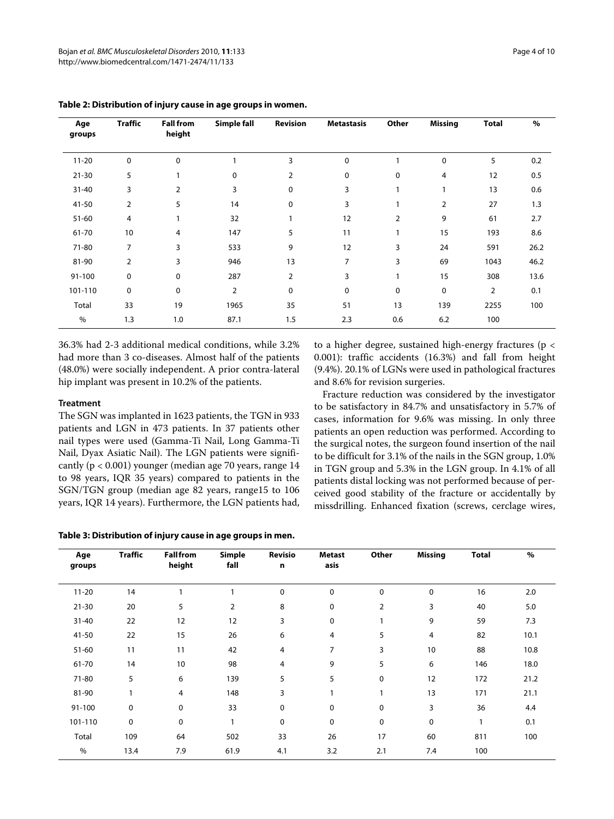| Age<br>groups | <b>Traffic</b> | <b>Fall from</b><br>height | Simple fall    | Revision       | <b>Metastasis</b> | Other | <b>Missing</b> | <b>Total</b>   | $\%$ |
|---------------|----------------|----------------------------|----------------|----------------|-------------------|-------|----------------|----------------|------|
| $11 - 20$     | $\mathbf 0$    | 0                          |                | 3              | $\mathbf 0$       |       | 0              | 5              | 0.2  |
| $21 - 30$     | 5              |                            | 0              | $\overline{2}$ | 0                 | 0     | 4              | 12             | 0.5  |
| $31 - 40$     | 3              | 2                          | 3              | 0              | 3                 | 1     | 1              | 13             | 0.6  |
| 41-50         | $\overline{2}$ | 5                          | 14             | 0              | 3                 |       | $\overline{2}$ | 27             | 1.3  |
| $51 - 60$     | 4              |                            | 32             |                | 12                | 2     | 9              | 61             | 2.7  |
| 61-70         | 10             | 4                          | 147            | 5              | 11                |       | 15             | 193            | 8.6  |
| 71-80         | 7              | 3                          | 533            | 9              | 12                | 3     | 24             | 591            | 26.2 |
| 81-90         | $\overline{2}$ | 3                          | 946            | 13             | 7                 | 3     | 69             | 1043           | 46.2 |
| 91-100        | $\mathbf 0$    | 0                          | 287            | $\overline{2}$ | 3                 | 1     | 15             | 308            | 13.6 |
| 101-110       | $\mathbf 0$    | 0                          | $\overline{2}$ | 0              | 0                 | 0     | 0              | $\overline{2}$ | 0.1  |
| Total         | 33             | 19                         | 1965           | 35             | 51                | 13    | 139            | 2255           | 100  |
| $\%$          | 1.3            | 1.0                        | 87.1           | 1.5            | 2.3               | 0.6   | 6.2            | 100            |      |

### <span id="page-3-0"></span>**Table 2: Distribution of injury cause in age groups in women.**

36.3% had 2-3 additional medical conditions, while 3.2% had more than 3 co-diseases. Almost half of the patients (48.0%) were socially independent. A prior contra-lateral hip implant was present in 10.2% of the patients.

#### **Treatment**

The SGN was implanted in 1623 patients, the TGN in 933 patients and LGN in 473 patients. In 37 patients other nail types were used (Gamma-Ti Nail, Long Gamma-Ti Nail, Dyax Asiatic Nail). The LGN patients were significantly ( $p < 0.001$ ) younger (median age 70 years, range 14 to 98 years, IQR 35 years) compared to patients in the SGN/TGN group (median age 82 years, range15 to 106 years, IQR 14 years). Furthermore, the LGN patients had,

**Table 3: Distribution of injury cause in age groups in men.**

to a higher degree, sustained high-energy fractures (p < 0.001): traffic accidents (16.3%) and fall from height (9.4%). 20.1% of LGNs were used in pathological fractures and 8.6% for revision surgeries.

Fracture reduction was considered by the investigator to be satisfactory in 84.7% and unsatisfactory in 5.7% of cases, information for 9.6% was missing. In only three patients an open reduction was performed. According to the surgical notes, the surgeon found insertion of the nail to be difficult for 3.1% of the nails in the SGN group, 1.0% in TGN group and 5.3% in the LGN group. In 4.1% of all patients distal locking was not performed because of perceived good stability of the fracture or accidentally by missdrilling. Enhanced fixation (screws, cerclage wires,

| Age<br>groups | <b>Traffic</b> | <b>Fall from</b><br>height | Simple<br>fall | Revisio<br>n | Metast<br>asis | Other          | <b>Missing</b> | <b>Total</b> | $\%$ |
|---------------|----------------|----------------------------|----------------|--------------|----------------|----------------|----------------|--------------|------|
|               |                |                            |                |              |                |                |                |              |      |
| $11 - 20$     | 14             |                            |                | 0            | 0              | 0              | 0              | 16           | 2.0  |
| $21 - 30$     | 20             | 5                          | $\overline{2}$ | 8            | 0              | $\overline{2}$ | 3              | 40           | 5.0  |
| $31 - 40$     | 22             | 12                         | 12             | 3            | 0              |                | 9              | 59           | 7.3  |
| 41-50         | 22             | 15                         | 26             | 6            | 4              | 5              | 4              | 82           | 10.1 |
| $51 - 60$     | 11             | 11                         | 42             | 4            | 7              | 3              | 10             | 88           | 10.8 |
| 61-70         | 14             | 10                         | 98             | 4            | 9              | 5              | 6              | 146          | 18.0 |
| 71-80         | 5              | 6                          | 139            | 5            | 5              | 0              | 12             | 172          | 21.2 |
| 81-90         |                | 4                          | 148            | 3            |                |                | 13             | 171          | 21.1 |
| 91-100        | 0              | 0                          | 33             | 0            | 0              | $\mathbf 0$    | 3              | 36           | 4.4  |
| 101-110       | 0              | 0                          | $\mathbf{1}$   | $\mathbf 0$  | $\mathbf 0$    | $\mathbf 0$    | 0              | 1            | 0.1  |
| Total         | 109            | 64                         | 502            | 33           | 26             | 17             | 60             | 811          | 100  |
| %             | 13.4           | 7.9                        | 61.9           | 4.1          | 3.2            | 2.1            | 7.4            | 100          |      |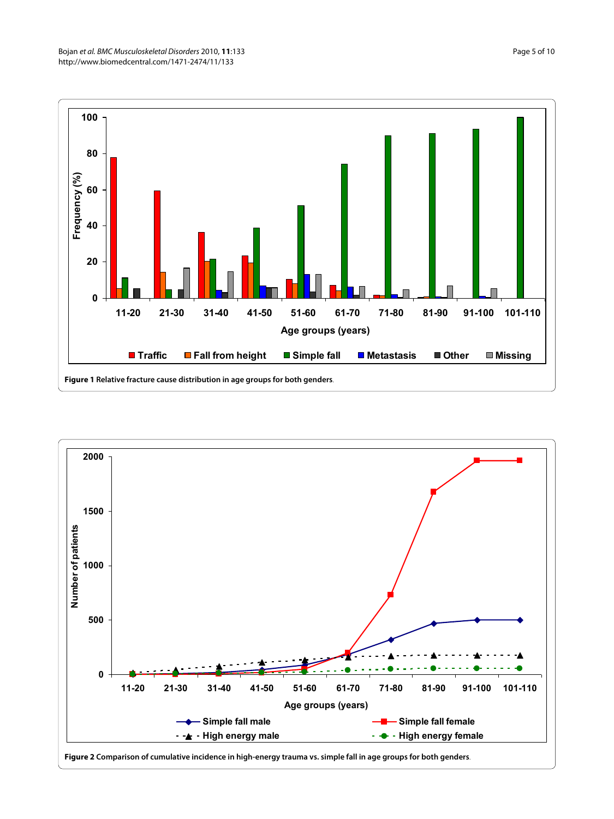<span id="page-4-0"></span>

<span id="page-4-1"></span>

**Figure 2 Comparison of cumulative incidence in high-energy trauma vs. simple fall in age groups for both genders**.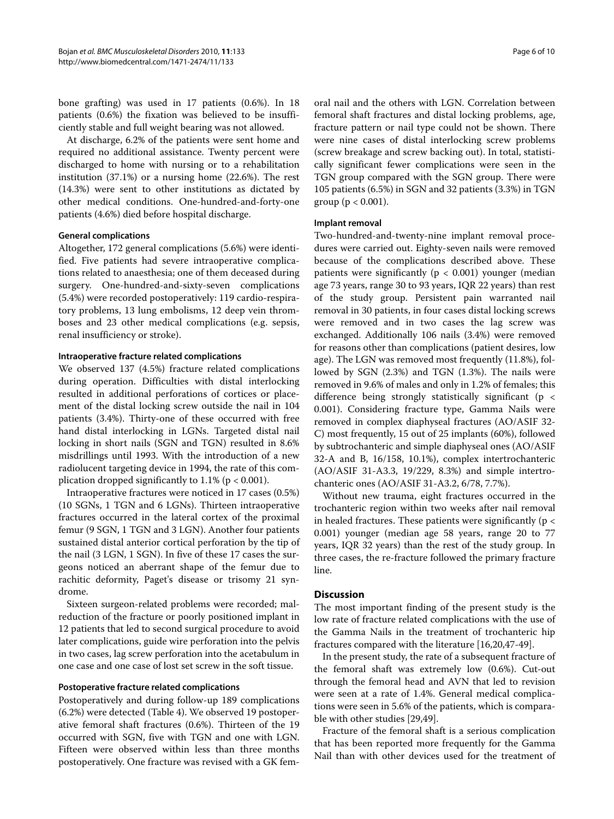bone grafting) was used in 17 patients (0.6%). In 18 patients (0.6%) the fixation was believed to be insufficiently stable and full weight bearing was not allowed.

At discharge, 6.2% of the patients were sent home and required no additional assistance. Twenty percent were discharged to home with nursing or to a rehabilitation institution (37.1%) or a nursing home (22.6%). The rest (14.3%) were sent to other institutions as dictated by other medical conditions. One-hundred-and-forty-one patients (4.6%) died before hospital discharge.

#### **General complications**

Altogether, 172 general complications (5.6%) were identified. Five patients had severe intraoperative complications related to anaesthesia; one of them deceased during surgery. One-hundred-and-sixty-seven complications (5.4%) were recorded postoperatively: 119 cardio-respiratory problems, 13 lung embolisms, 12 deep vein thromboses and 23 other medical complications (e.g. sepsis, renal insufficiency or stroke).

#### **Intraoperative fracture related complications**

We observed 137 (4.5%) fracture related complications during operation. Difficulties with distal interlocking resulted in additional perforations of cortices or placement of the distal locking screw outside the nail in 104 patients (3.4%). Thirty-one of these occurred with free hand distal interlocking in LGNs. Targeted distal nail locking in short nails (SGN and TGN) resulted in 8.6% misdrillings until 1993. With the introduction of a new radiolucent targeting device in 1994, the rate of this complication dropped significantly to  $1.1\%$  (p < 0.001).

Intraoperative fractures were noticed in 17 cases (0.5%) (10 SGNs, 1 TGN and 6 LGNs). Thirteen intraoperative fractures occurred in the lateral cortex of the proximal femur (9 SGN, 1 TGN and 3 LGN). Another four patients sustained distal anterior cortical perforation by the tip of the nail (3 LGN, 1 SGN). In five of these 17 cases the surgeons noticed an aberrant shape of the femur due to rachitic deformity, Paget's disease or trisomy 21 syndrome.

Sixteen surgeon-related problems were recorded; malreduction of the fracture or poorly positioned implant in 12 patients that led to second surgical procedure to avoid later complications, guide wire perforation into the pelvis in two cases, lag screw perforation into the acetabulum in one case and one case of lost set screw in the soft tissue.

#### **Postoperative fracture related complications**

Postoperatively and during follow-up 189 complications (6.2%) were detected (Table 4). We observed 19 postoperative femoral shaft fractures (0.6%). Thirteen of the 19 occurred with SGN, five with TGN and one with LGN. Fifteen were observed within less than three months postoperatively. One fracture was revised with a GK fem-

oral nail and the others with LGN. Correlation between femoral shaft fractures and distal locking problems, age, fracture pattern or nail type could not be shown. There were nine cases of distal interlocking screw problems (screw breakage and screw backing out). In total, statistically significant fewer complications were seen in the TGN group compared with the SGN group. There were 105 patients (6.5%) in SGN and 32 patients (3.3%) in TGN group ( $p < 0.001$ ).

#### **Implant removal**

Two-hundred-and-twenty-nine implant removal procedures were carried out. Eighty-seven nails were removed because of the complications described above. These patients were significantly ( $p < 0.001$ ) younger (median age 73 years, range 30 to 93 years, IQR 22 years) than rest of the study group. Persistent pain warranted nail removal in 30 patients, in four cases distal locking screws were removed and in two cases the lag screw was exchanged. Additionally 106 nails (3.4%) were removed for reasons other than complications (patient desires, low age). The LGN was removed most frequently (11.8%), followed by SGN (2.3%) and TGN (1.3%). The nails were removed in 9.6% of males and only in 1.2% of females; this difference being strongly statistically significant (p < 0.001). Considering fracture type, Gamma Nails were removed in complex diaphyseal fractures (AO/ASIF 32- C) most frequently, 15 out of 25 implants (60%), followed by subtrochanteric and simple diaphyseal ones (AO/ASIF 32-A and B, 16/158, 10.1%), complex intertrochanteric (AO/ASIF 31-A3.3, 19/229, 8.3%) and simple intertrochanteric ones (AO/ASIF 31-A3.2, 6/78, 7.7%).

Without new trauma, eight fractures occurred in the trochanteric region within two weeks after nail removal in healed fractures. These patients were significantly ( $p <$ 0.001) younger (median age 58 years, range 20 to 77 years, IQR 32 years) than the rest of the study group. In three cases, the re-fracture followed the primary fracture line.

# **Discussion**

The most important finding of the present study is the low rate of fracture related complications with the use of the Gamma Nails in the treatment of trochanteric hip fractures compared with the literature [[16](#page-8-10),[20](#page-8-15),[47-](#page-9-8)[49\]](#page-9-9).

In the present study, the rate of a subsequent fracture of the femoral shaft was extremely low (0.6%). Cut-out through the femoral head and AVN that led to revision were seen at a rate of 1.4%. General medical complications were seen in 5.6% of the patients, which is comparable with other studies [[29,](#page-8-16)[49\]](#page-9-9).

Fracture of the femoral shaft is a serious complication that has been reported more frequently for the Gamma Nail than with other devices used for the treatment of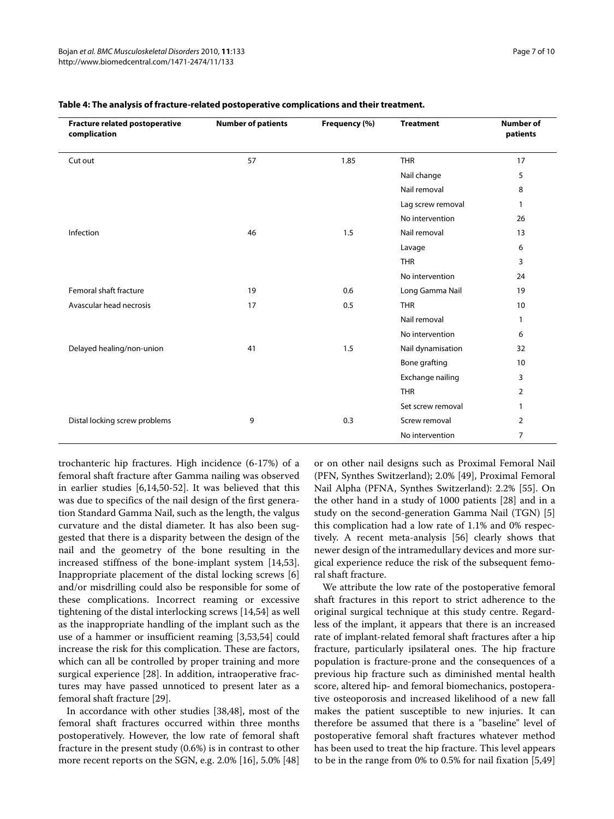| Fracture related postoperative<br>complication | <b>Number of patients</b> | Frequency (%) | <b>Treatment</b>  | <b>Number of</b><br>patients |
|------------------------------------------------|---------------------------|---------------|-------------------|------------------------------|
| Cut out                                        | 57                        | 1.85          | <b>THR</b>        | 17                           |
|                                                |                           |               | Nail change       | 5                            |
|                                                |                           |               | Nail removal      | 8                            |
|                                                |                           |               | Lag screw removal | $\mathbf{1}$                 |
|                                                |                           |               | No intervention   | 26                           |
| Infection                                      | 46                        | 1.5           | Nail removal      | 13                           |
|                                                |                           |               | Lavage            | 6                            |
|                                                |                           |               | <b>THR</b>        | 3                            |
|                                                |                           |               | No intervention   | 24                           |
| Femoral shaft fracture                         | 19                        | 0.6           | Long Gamma Nail   | 19                           |
| Avascular head necrosis                        | 17                        | 0.5           | <b>THR</b>        | 10                           |
|                                                |                           |               | Nail removal      | 1                            |
|                                                |                           |               | No intervention   | 6                            |
| Delayed healing/non-union                      | 41                        | 1.5           | Nail dynamisation | 32                           |
|                                                |                           |               | Bone grafting     | 10 <sup>°</sup>              |
|                                                |                           |               | Exchange nailing  | 3                            |
|                                                |                           |               | <b>THR</b>        | $\overline{2}$               |
|                                                |                           |               | Set screw removal | 1                            |
| Distal locking screw problems                  | 9                         | 0.3           | Screw removal     | $\overline{2}$               |
|                                                |                           |               | No intervention   | $\overline{7}$               |

#### **Table 4: The analysis of fracture-related postoperative complications and their treatment.**

trochanteric hip fractures. High incidence (6-17%) of a femoral shaft fracture after Gamma nailing was observed in earlier studies [[6,](#page-8-3)[14](#page-8-8)[,50](#page-9-10)-[52](#page-9-11)]. It was believed that this was due to specifics of the nail design of the first generation Standard Gamma Nail, such as the length, the valgus curvature and the distal diameter. It has also been suggested that there is a disparity between the design of the nail and the geometry of the bone resulting in the increased stiffness of the bone-implant system [\[14](#page-8-8)[,53](#page-9-12)]. Inappropriate placement of the distal locking screws [\[6](#page-8-3)] and/or misdrilling could also be responsible for some of these complications. Incorrect reaming or excessive tightening of the distal interlocking screws [[14,](#page-8-8)[54\]](#page-9-13) as well as the inappropriate handling of the implant such as the use of a hammer or insufficient reaming [\[3](#page-8-2)[,53](#page-9-12),[54](#page-9-13)] could increase the risk for this complication. These are factors, which can all be controlled by proper training and more surgical experience [[28\]](#page-8-17). In addition, intraoperative fractures may have passed unnoticed to present later as a femoral shaft fracture [[29](#page-8-16)].

In accordance with other studies [\[38](#page-9-14)[,48](#page-9-15)], most of the femoral shaft fractures occurred within three months postoperatively. However, the low rate of femoral shaft fracture in the present study (0.6%) is in contrast to other more recent reports on the SGN, e.g. 2.0% [\[16\]](#page-8-10), 5.0% [[48](#page-9-15)]

or on other nail designs such as Proximal Femoral Nail (PFN, Synthes Switzerland); 2.0% [\[49](#page-9-9)], Proximal Femoral Nail Alpha (PFNA, Synthes Switzerland): 2.2% [[55](#page-9-16)]. On the other hand in a study of 1000 patients [[28\]](#page-8-17) and in a study on the second-generation Gamma Nail (TGN) [\[5](#page-8-13)] this complication had a low rate of 1.1% and 0% respectively. A recent meta-analysis [\[56](#page-9-17)] clearly shows that newer design of the intramedullary devices and more surgical experience reduce the risk of the subsequent femoral shaft fracture.

We attribute the low rate of the postoperative femoral shaft fractures in this report to strict adherence to the original surgical technique at this study centre. Regardless of the implant, it appears that there is an increased rate of implant-related femoral shaft fractures after a hip fracture, particularly ipsilateral ones. The hip fracture population is fracture-prone and the consequences of a previous hip fracture such as diminished mental health score, altered hip- and femoral biomechanics, postoperative osteoporosis and increased likelihood of a new fall makes the patient susceptible to new injuries. It can therefore be assumed that there is a "baseline" level of postoperative femoral shaft fractures whatever method has been used to treat the hip fracture. This level appears to be in the range from 0% to 0.5% for nail fixation [\[5](#page-8-13),[49](#page-9-9)]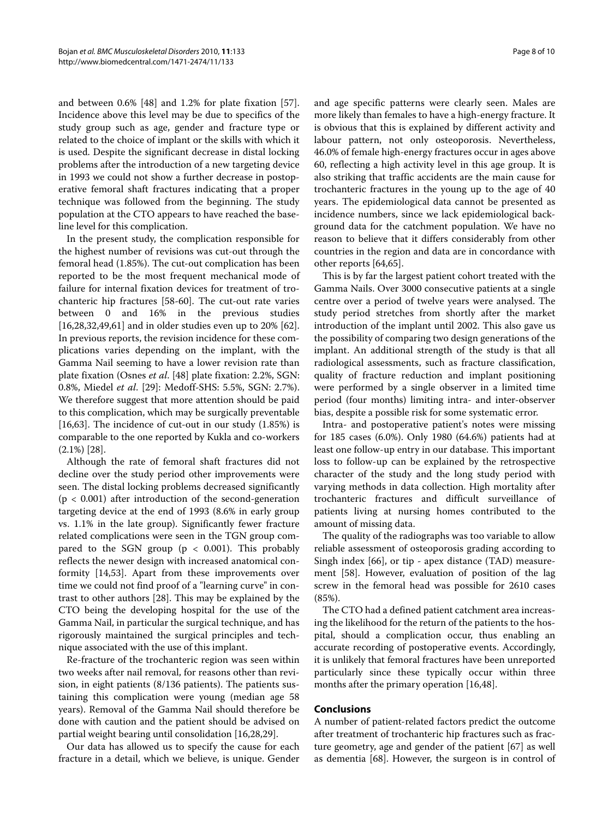and between 0.6% [[48](#page-9-15)] and 1.2% for plate fixation [\[57](#page-9-18)]. Incidence above this level may be due to specifics of the study group such as age, gender and fracture type or related to the choice of implant or the skills with which it is used. Despite the significant decrease in distal locking problems after the introduction of a new targeting device in 1993 we could not show a further decrease in postoperative femoral shaft fractures indicating that a proper technique was followed from the beginning. The study population at the CTO appears to have reached the baseline level for this complication.

In the present study, the complication responsible for the highest number of revisions was cut-out through the femoral head (1.85%). The cut-out complication has been reported to be the most frequent mechanical mode of failure for internal fixation devices for treatment of trochanteric hip fractures [[58-](#page-9-19)[60\]](#page-9-20). The cut-out rate varies between 0 and 16% in the previous studies [[16,](#page-8-10)[28,](#page-8-17)[32,](#page-8-18)[49](#page-9-9)[,61](#page-9-21)] and in older studies even up to 20% [\[62](#page-9-22)]. In previous reports, the revision incidence for these complications varies depending on the implant, with the Gamma Nail seeming to have a lower revision rate than plate fixation (Osnes *et al*. [\[48](#page-9-15)] plate fixation: 2.2%, SGN: 0.8%, Miedel *et al*. [[29\]](#page-8-16): Medoff-SHS: 5.5%, SGN: 2.7%). We therefore suggest that more attention should be paid to this complication, which may be surgically preventable [[16,](#page-8-10)[63\]](#page-9-23). The incidence of cut-out in our study  $(1.85\%)$  is comparable to the one reported by Kukla and co-workers (2.1%) [\[28](#page-8-17)].

Although the rate of femoral shaft fractures did not decline over the study period other improvements were seen. The distal locking problems decreased significantly  $(p < 0.001)$  after introduction of the second-generation targeting device at the end of 1993 (8.6% in early group vs. 1.1% in the late group). Significantly fewer fracture related complications were seen in the TGN group compared to the SGN group ( $p < 0.001$ ). This probably reflects the newer design with increased anatomical conformity [\[14](#page-8-8),[53](#page-9-12)]. Apart from these improvements over time we could not find proof of a "learning curve" in contrast to other authors [\[28\]](#page-8-17). This may be explained by the CTO being the developing hospital for the use of the Gamma Nail, in particular the surgical technique, and has rigorously maintained the surgical principles and technique associated with the use of this implant.

Re-fracture of the trochanteric region was seen within two weeks after nail removal, for reasons other than revision, in eight patients (8/136 patients). The patients sustaining this complication were young (median age 58 years). Removal of the Gamma Nail should therefore be done with caution and the patient should be advised on partial weight bearing until consolidation [[16](#page-8-10),[28,](#page-8-17)[29\]](#page-8-16).

Our data has allowed us to specify the cause for each fracture in a detail, which we believe, is unique. Gender and age specific patterns were clearly seen. Males are

more likely than females to have a high-energy fracture. It is obvious that this is explained by different activity and labour pattern, not only osteoporosis. Nevertheless, 46.0% of female high-energy fractures occur in ages above 60, reflecting a high activity level in this age group. It is also striking that traffic accidents are the main cause for trochanteric fractures in the young up to the age of 40 years. The epidemiological data cannot be presented as incidence numbers, since we lack epidemiological background data for the catchment population. We have no reason to believe that it differs considerably from other countries in the region and data are in concordance with other reports [\[64](#page-9-24)[,65](#page-9-25)].

This is by far the largest patient cohort treated with the Gamma Nails. Over 3000 consecutive patients at a single centre over a period of twelve years were analysed. The study period stretches from shortly after the market introduction of the implant until 2002. This also gave us the possibility of comparing two design generations of the implant. An additional strength of the study is that all radiological assessments, such as fracture classification, quality of fracture reduction and implant positioning were performed by a single observer in a limited time period (four months) limiting intra- and inter-observer bias, despite a possible risk for some systematic error.

Intra- and postoperative patient's notes were missing for 185 cases (6.0%). Only 1980 (64.6%) patients had at least one follow-up entry in our database. This important loss to follow-up can be explained by the retrospective character of the study and the long study period with varying methods in data collection. High mortality after trochanteric fractures and difficult surveillance of patients living at nursing homes contributed to the amount of missing data.

The quality of the radiographs was too variable to allow reliable assessment of osteoporosis grading according to Singh index [\[66\]](#page-9-26), or tip - apex distance (TAD) measurement [\[58\]](#page-9-19). However, evaluation of position of the lag screw in the femoral head was possible for 2610 cases (85%).

The CTO had a defined patient catchment area increasing the likelihood for the return of the patients to the hospital, should a complication occur, thus enabling an accurate recording of postoperative events. Accordingly, it is unlikely that femoral fractures have been unreported particularly since these typically occur within three months after the primary operation [\[16,](#page-8-10)[48\]](#page-9-15).

# **Conclusions**

A number of patient-related factors predict the outcome after treatment of trochanteric hip fractures such as fracture geometry, age and gender of the patient [[67\]](#page-9-27) as well as dementia [[68\]](#page-9-28). However, the surgeon is in control of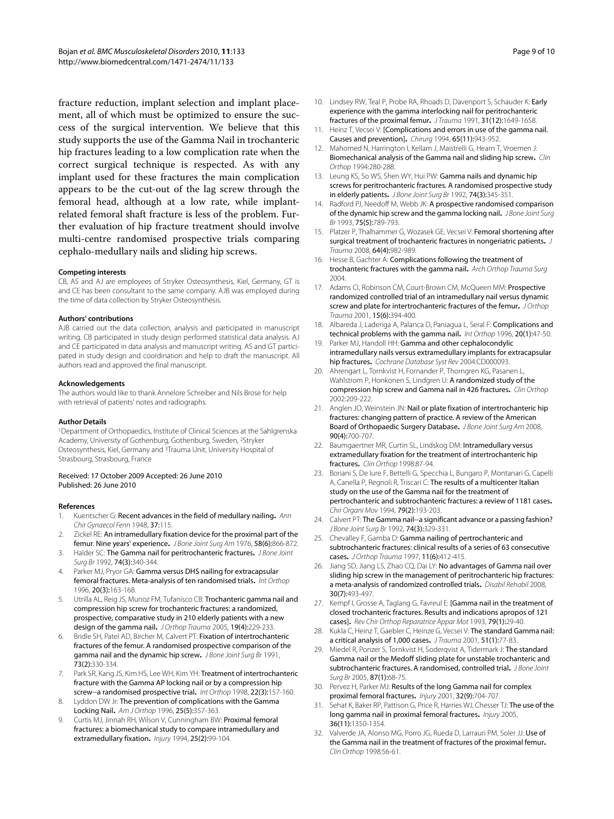fracture reduction, implant selection and implant placement, all of which must be optimized to ensure the success of the surgical intervention. We believe that this study supports the use of the Gamma Nail in trochanteric hip fractures leading to a low complication rate when the correct surgical technique is respected. As with any implant used for these fractures the main complication appears to be the cut-out of the lag screw through the femoral head, although at a low rate, while implantrelated femoral shaft fracture is less of the problem. Further evaluation of hip fracture treatment should involve multi-centre randomised prospective trials comparing cephalo-medullary nails and sliding hip screws.

#### **Competing interests**

CB, AS and AJ are employees of Stryker Osteosynthesis, Kiel, Germany, GT is and CE has been consultant to the same company. AJB was employed during the time of data collection by Stryker Osteosynthesis.

#### **Authors' contributions**

AJB carried out the data collection, analysis and participated in manuscript writing. CB participated in study design performed statistical data analysis. AJ and CE participated in data analysis and manuscript writing. AS and GT participated in study design and coordination and help to draft the manuscript. All authors read and approved the final manuscript.

#### **Acknowledgements**

The authors would like to thank Annelore Schreiber and Nils Brose for help with retrieval of patients' notes and radiographs.

#### **Author Details**

1Department of Orthopaedics, Institute of Clinical Sciences at the Sahlgrenska Academy, University of Gothenburg, Gothenburg, Sweden, 2Stryker Osteosynthesis, Kiel, Germany and 3Trauma Unit, University Hospital of Strasbourg, Strasbourg, France

#### Received: 17 October 2009 Accepted: 26 June 2010 Published: 26 June 2010

#### **References**

- <span id="page-8-0"></span>1. Kuentscher G: Recent advances in the field of medullary nailing**.** Ann Chir Gynaecol Fenn 1948, 37:115.
- <span id="page-8-1"></span>2. Zickel RE: An intramedullary fixation device for the proximal part of the femur. Nine years' experience**.** J Bone Joint Surg Am 1976, 58(6):866-872.
- <span id="page-8-2"></span>3. Halder SC: The Gamma nail for peritrochanteric fractures**[.](http://www.ncbi.nlm.nih.gov/entrez/query.fcgi?cmd=Retrieve&db=PubMed&dopt=Abstract&list_uids=1587873)** J Bone Joint Surg Br 1992, 74(3):340-344.
- <span id="page-8-6"></span>4. Parker MJ, Pryor GA: Gamma versus DHS nailing for extracapsular femoral fractures. Meta-analysis of ten randomised trials**.** Int Orthop 1996, 20(3):163-168.
- <span id="page-8-13"></span>5. Utrilla AL, Reig JS, Munoz FM, Tufanisco CB: Trochanteric gamma nail and compression hip screw for trochanteric fractures: a randomized, prospective, comparative study in 210 elderly patients with a new design of the gamma nail**.** J Orthop Trauma 2005, 19(4):229-233.
- <span id="page-8-3"></span>6. Bridle SH, Patel AD, Bircher M, Calvert PT: Fixation of intertrochanteric fractures of the femur. A randomised prospective comparison of the gamma nail and the dynamic hip screw**.** J Bone Joint Surg Br 1991, 73(2):330-334.
- <span id="page-8-4"></span>7. Park SR, Kang JS, Kim HS, Lee WH, Kim YH: Treatment of intertrochanteric fracture with the Gamma AP locking nail or by a compression hip screw--a randomised prospective trial**.** Int Orthop 1998, 22(3):157-160.
- <span id="page-8-5"></span>8. Lyddon DW Jr: The prevention of complications with the Gamma Locking Nail**.** Am J Orthop 1996, 25(5):357-363.
- <span id="page-8-7"></span>Curtis MJ, Jinnah RH, Wilson V, Cunningham BW: Proximal femoral fractures: a biomechanical study to compare intramedullary and extramedullary fixation**.** Injury 1994, 25(2):99-104.
- 10. Lindsey RW, Teal P, Probe RA, Rhoads D, Davenport S, Schauder K: Early experience with the gamma interlocking nail for peritrochanteric fractures of the proximal femur**.** J Trauma 1991, 31(12):1649-1658.
- 11. Heinz T, Vecsei V: [Complications and errors in use of the gamma nail. Causes and prevention]**.** Chirurg 1994, 65(11):943-952.
- 12. Mahomed N, Harrington I, Kellam J, Maistrelli G, Hearn T, Vroemen J: Biomechanical analysis of the Gamma nail and sliding hip screw**.** Clin Orthop 1994:280-288.
- <span id="page-8-14"></span>13. Leung KS, So WS, Shen WY, Hui PW: Gamma nails and dynamic hip screws for peritrochanteric fractures. A randomised prospective study in elderly patients**[.](http://www.ncbi.nlm.nih.gov/entrez/query.fcgi?cmd=Retrieve&db=PubMed&dopt=Abstract&list_uids=1587874)** J Bone Joint Surg Br 1992, 74(3):345-351.
- <span id="page-8-8"></span>14. Radford PJ, Needoff M, Webb JK: A prospective randomised comparison of the dynamic hip screw and the gamma locking nail**.** J Bone Joint Surg Br 1993, 75(5):789-793.
- <span id="page-8-9"></span>15. Platzer P, Thalhammer G, Wozasek GE, Vecsei V: Femoral shortening after surgical treatment of trochanteric fractures in nongeriatric patients**[.](http://www.ncbi.nlm.nih.gov/entrez/query.fcgi?cmd=Retrieve&db=PubMed&dopt=Abstract&list_uids=18404065)** J Trauma 2008, 64(4):982-989.
- <span id="page-8-10"></span>16. Hesse B, Gachter A: Complications following the treatment of trochanteric fractures with the gamma nail**.** Arch Orthop Trauma Surg 2004.
- <span id="page-8-11"></span>17. Adams CI, Robinson CM, Court-Brown CM, McQueen MM: Prospective randomized controlled trial of an intramedullary nail versus dynamic screw and plate for intertrochanteric fractures of the femur**.** J Orthop Trauma 2001, 15(6):394-400.
- 18. Albareda J, Laderiga A, Palanca D, Paniagua L, Seral F: Complications and technical problems with the gamma nail**.** Int Orthop 1996, 20(1):47-50.
- <span id="page-8-12"></span>19. Parker MJ, Handoll HH: Gamma and other cephalocondylic intramedullary nails versus extramedullary implants for extracapsular hip fractures**.** Cochrane Database Syst Rev 2004:CD000093.
- <span id="page-8-15"></span>20. Ahrengart L, Tornkvist H, Fornander P, Thorngren KG, Pasanen L, Wahlstrom P, Honkonen S, Lindgren U: A randomized study of the compression hip screw and Gamma nail in 426 fractures**[.](http://www.ncbi.nlm.nih.gov/entrez/query.fcgi?cmd=Retrieve&db=PubMed&dopt=Abstract&list_uids=12151898)** Clin Orthop 2002:209-222.
- 21. Anglen JO, Weinstein JN: Nail or plate fixation of intertrochanteric hip fractures: changing pattern of practice. A review of the American Board of Orthopaedic Surgery Database**.** J Bone Joint Surg Am 2008, 90(4):700-707.
- 22. Baumgaertner MR, Curtin SL, Lindskog DM: Intramedullary versus extramedullary fixation for the treatment of intertrochanteric hip fractures**.** Clin Orthop 1998:87-94.
- 23. Boriani S, De Iure F, Bettelli G, Specchia L, Bungaro P, Montanari G, Capelli A, Canella P, Regnoli R, Triscari C: The results of a multicenter Italian study on the use of the Gamma nail for the treatment of pertrochanteric and subtrochanteric fractures: a review of 1181 cases**.** Chir Organi Mov 1994, 79(2):193-203.
- 24. Calvert PT: The Gamma nail--a significant advance or a passing fashion? J Bone Joint Surg Br 1992, 74(3):329-331.
- 25. Chevalley F, Gamba D: Gamma nailing of pertrochanteric and subtrochanteric fractures: clinical results of a series of 63 consecutive cases**[.](http://www.ncbi.nlm.nih.gov/entrez/query.fcgi?cmd=Retrieve&db=PubMed&dopt=Abstract&list_uids=9314147)** J Orthop Trauma 1997, 11(6):412-415.
- 26. Jiang SD, Jiang LS, Zhao CO, Dai LY: No advantages of Gamma nail over sliding hip screw in the management of peritrochanteric hip fractures: a meta-analysis of randomized controlled trials**.** Disabil Rehabil 2008, 30(7):493-497.
- 27. Kempf I, Grosse A, Taglang G, Favreul E: [Gamma nail in the treatment of closed trochanteric fractures. Results and indications apropos of 121 cases]**.** Rev Chir Orthop Reparatrice Appar Mot 1993, 79(1):29-40.
- <span id="page-8-17"></span>28. Kukla C, Heinz T, Gaebler C, Heinze G, Vecsei V: The standard Gamma nail: a critical analysis of 1,000 cases**.** J Trauma 2001, 51(1):77-83.
- <span id="page-8-16"></span>29. Miedel R, Ponzer S, Tornkvist H, Soderqvist A, Tidermark J: The standard Gamma nail or the Medoff sliding plate for unstable trochanteric and subtrochanteric fractures. A randomised, controlled trial. J Bone Joint Sura Br 2005, 87(1):68-75.
- 30. Pervez H, Parker MJ: Results of the long Gamma nail for complex proximal femoral fractures**.** Injury 2001, 32(9):704-707.
- 31. Sehat K, Baker RP, Pattison G, Price R, Harries WJ, Chesser TJ: The use of the long gamma nail in proximal femoral fractures**[.](http://www.ncbi.nlm.nih.gov/entrez/query.fcgi?cmd=Retrieve&db=PubMed&dopt=Abstract&list_uids=16054630)** Injury 2005, 36(11):1350-1354.
- <span id="page-8-18"></span>32. Valverde JA, Alonso MG, Porro JG, Rueda D, Larrauri PM, Soler JJ: Use of the Gamma nail in the treatment of fractures of the proximal femur**.** Clin Orthop 1998:56-61.